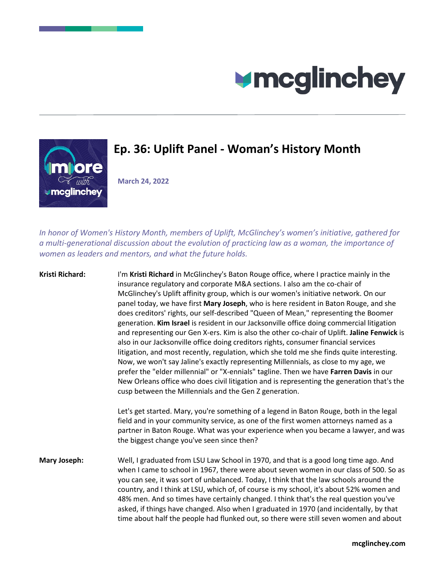



## **Ep. 36: Uplift Panel - Woman's History Month**

**March 24, 2022**

*In honor of Women's History Month, members of Uplift, McGlinchey's women's initiative, gathered for a multi-generational discussion about the evolution of practicing law as a woman, the importance of women as leaders and mentors, and what the future holds.*

**Kristi Richard:** I'm **Kristi Richard** in McGlinchey's Baton Rouge office, where I practice mainly in the insurance regulatory and corporate M&A sections. I also am the co-chair of McGlinchey's Uplift affinity group, which is our women's initiative network. On our panel today, we have first **Mary Joseph**, who is here resident in Baton Rouge, and she does creditors' rights, our self-described "Queen of Mean," representing the Boomer generation. **Kim Israel** is resident in our Jacksonville office doing commercial litigation and representing our Gen X-ers. Kim is also the other co-chair of Uplift. **Jaline Fenwick** is also in our Jacksonville office doing creditors rights, consumer financial services litigation, and most recently, regulation, which she told me she finds quite interesting. Now, we won't say Jaline's exactly representing Millennials, as close to my age, we prefer the "elder millennial" or "X-ennials" tagline. Then we have **Farren Davis** in our New Orleans office who does civil litigation and is representing the generation that's the cusp between the Millennials and the Gen Z generation.

> Let's get started. Mary, you're something of a legend in Baton Rouge, both in the legal field and in your community service, as one of the first women attorneys named as a partner in Baton Rouge. What was your experience when you became a lawyer, and was the biggest change you've seen since then?

**Mary Joseph:** Well, I graduated from LSU Law School in 1970, and that is a good long time ago. And when I came to school in 1967, there were about seven women in our class of 500. So as you can see, it was sort of unbalanced. Today, I think that the law schools around the country, and I think at LSU, which of, of course is my school, it's about 52% women and 48% men. And so times have certainly changed. I think that's the real question you've asked, if things have changed. Also when I graduated in 1970 (and incidentally, by that time about half the people had flunked out, so there were still seven women and about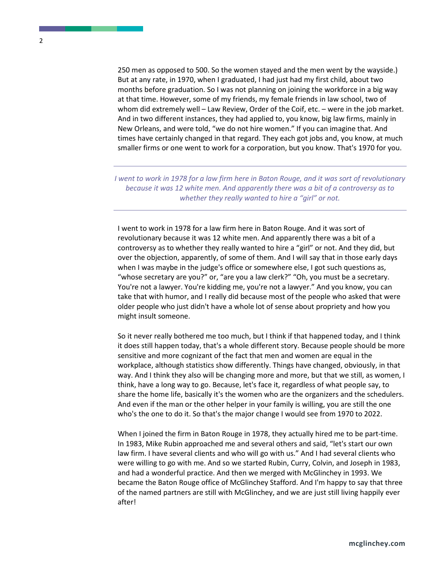250 men as opposed to 500. So the women stayed and the men went by the wayside.) But at any rate, in 1970, when I graduated, I had just had my first child, about two months before graduation. So I was not planning on joining the workforce in a big way at that time. However, some of my friends, my female friends in law school, two of whom did extremely well – Law Review, Order of the Coif, etc. – were in the job market. And in two different instances, they had applied to, you know, big law firms, mainly in New Orleans, and were told, "we do not hire women." If you can imagine that. And times have certainly changed in that regard. They each got jobs and, you know, at much smaller firms or one went to work for a corporation, but you know. That's 1970 for you.

*I went to work in 1978 for a law firm here in Baton Rouge, and it was sort of revolutionary because it was 12 white men. And apparently there was a bit of a controversy as to whether they really wanted to hire a "girl" or not.* 

I went to work in 1978 for a law firm here in Baton Rouge. And it was sort of revolutionary because it was 12 white men. And apparently there was a bit of a controversy as to whether they really wanted to hire a "girl" or not. And they did, but over the objection, apparently, of some of them. And I will say that in those early days when I was maybe in the judge's office or somewhere else, I got such questions as, "whose secretary are you?" or, "are you a law clerk?" "Oh, you must be a secretary. You're not a lawyer. You're kidding me, you're not a lawyer." And you know, you can take that with humor, and I really did because most of the people who asked that were older people who just didn't have a whole lot of sense about propriety and how you might insult someone.

So it never really bothered me too much, but I think if that happened today, and I think it does still happen today, that's a whole different story. Because people should be more sensitive and more cognizant of the fact that men and women are equal in the workplace, although statistics show differently. Things have changed, obviously, in that way. And I think they also will be changing more and more, but that we still, as women, I think, have a long way to go. Because, let's face it, regardless of what people say, to share the home life, basically it's the women who are the organizers and the schedulers. And even if the man or the other helper in your family is willing, you are still the one who's the one to do it. So that's the major change I would see from 1970 to 2022.

When I joined the firm in Baton Rouge in 1978, they actually hired me to be part-time. In 1983, Mike Rubin approached me and several others and said, "let's start our own law firm. I have several clients and who will go with us." And I had several clients who were willing to go with me. And so we started Rubin, Curry, Colvin, and Joseph in 1983, and had a wonderful practice. And then we merged with McGlinchey in 1993. We became the Baton Rouge office of McGlinchey Stafford. And I'm happy to say that three of the named partners are still with McGlinchey, and we are just still living happily ever after!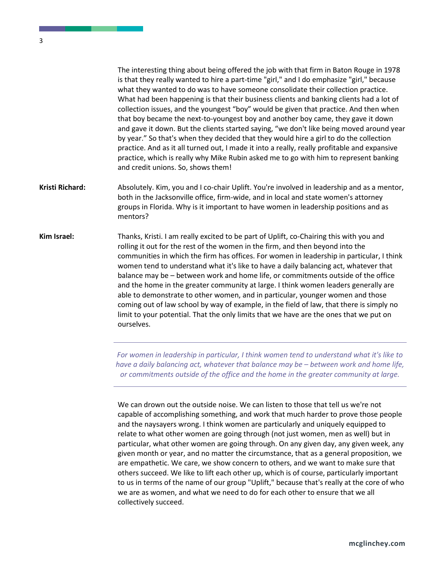The interesting thing about being offered the job with that firm in Baton Rouge in 1978 is that they really wanted to hire a part-time "girl," and I do emphasize "girl," because what they wanted to do was to have someone consolidate their collection practice. What had been happening is that their business clients and banking clients had a lot of collection issues, and the youngest "boy" would be given that practice. And then when that boy became the next-to-youngest boy and another boy came, they gave it down and gave it down. But the clients started saying, "we don't like being moved around year by year." So that's when they decided that they would hire a girl to do the collection practice. And as it all turned out, I made it into a really, really profitable and expansive practice, which is really why Mike Rubin asked me to go with him to represent banking and credit unions. So, shows them!

- **Kristi Richard:** Absolutely. Kim, you and I co-chair Uplift. You're involved in leadership and as a mentor, both in the Jacksonville office, firm-wide, and in local and state women's attorney groups in Florida. Why is it important to have women in leadership positions and as mentors?
- **Kim Israel:** Thanks, Kristi. I am really excited to be part of Uplift, co-Chairing this with you and rolling it out for the rest of the women in the firm, and then beyond into the communities in which the firm has offices. For women in leadership in particular, I think women tend to understand what it's like to have a daily balancing act, whatever that balance may be – between work and home life, or commitments outside of the office and the home in the greater community at large. I think women leaders generally are able to demonstrate to other women, and in particular, younger women and those coming out of law school by way of example, in the field of law, that there is simply no limit to your potential. That the only limits that we have are the ones that we put on ourselves.

*For women in leadership in particular, I think women tend to understand what it's like to have a daily balancing act, whatever that balance may be – between work and home life, or commitments outside of the office and the home in the greater community at large.* 

We can drown out the outside noise. We can listen to those that tell us we're not capable of accomplishing something, and work that much harder to prove those people and the naysayers wrong. I think women are particularly and uniquely equipped to relate to what other women are going through (not just women, men as well) but in particular, what other women are going through. On any given day, any given week, any given month or year, and no matter the circumstance, that as a general proposition, we are empathetic. We care, we show concern to others, and we want to make sure that others succeed. We like to lift each other up, which is of course, particularly important to us in terms of the name of our group "Uplift," because that's really at the core of who we are as women, and what we need to do for each other to ensure that we all collectively succeed.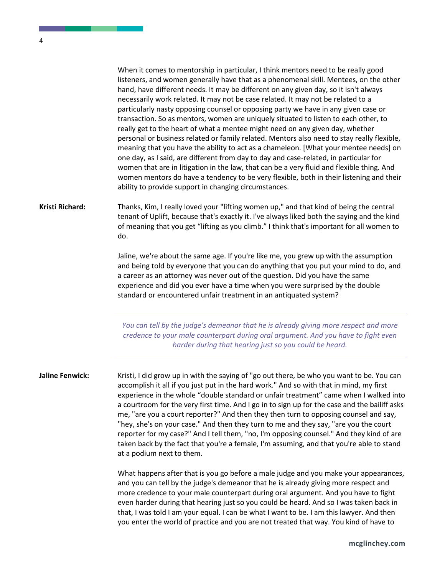When it comes to mentorship in particular, I think mentors need to be really good listeners, and women generally have that as a phenomenal skill. Mentees, on the other hand, have different needs. It may be different on any given day, so it isn't always necessarily work related. It may not be case related. It may not be related to a particularly nasty opposing counsel or opposing party we have in any given case or transaction. So as mentors, women are uniquely situated to listen to each other, to really get to the heart of what a mentee might need on any given day, whether personal or business related or family related. Mentors also need to stay really flexible, meaning that you have the ability to act as a chameleon. [What your mentee needs] on one day, as I said, are different from day to day and case-related, in particular for women that are in litigation in the law, that can be a very fluid and flexible thing. And women mentors do have a tendency to be very flexible, both in their listening and their ability to provide support in changing circumstances.

## **Kristi Richard:** Thanks, Kim, I really loved your "lifting women up," and that kind of being the central tenant of Uplift, because that's exactly it. I've always liked both the saying and the kind of meaning that you get "lifting as you climb." I think that's important for all women to do.

Jaline, we're about the same age. If you're like me, you grew up with the assumption and being told by everyone that you can do anything that you put your mind to do, and a career as an attorney was never out of the question. Did you have the same experience and did you ever have a time when you were surprised by the double standard or encountered unfair treatment in an antiquated system?

*You can tell by the judge's demeanor that he is already giving more respect and more credence to your male counterpart during oral argument. And you have to fight even harder during that hearing just so you could be heard.* 

**Jaline Fenwick:** Kristi, I did grow up in with the saying of "go out there, be who you want to be. You can accomplish it all if you just put in the hard work." And so with that in mind, my first experience in the whole "double standard or unfair treatment" came when I walked into a courtroom for the very first time. And I go in to sign up for the case and the bailiff asks me, "are you a court reporter?" And then they then turn to opposing counsel and say, "hey, she's on your case." And then they turn to me and they say, "are you the court reporter for my case?" And I tell them, "no, I'm opposing counsel." And they kind of are taken back by the fact that you're a female, I'm assuming, and that you're able to stand at a podium next to them.

> What happens after that is you go before a male judge and you make your appearances, and you can tell by the judge's demeanor that he is already giving more respect and more credence to your male counterpart during oral argument. And you have to fight even harder during that hearing just so you could be heard. And so I was taken back in that, I was told I am your equal. I can be what I want to be. I am this lawyer. And then you enter the world of practice and you are not treated that way. You kind of have to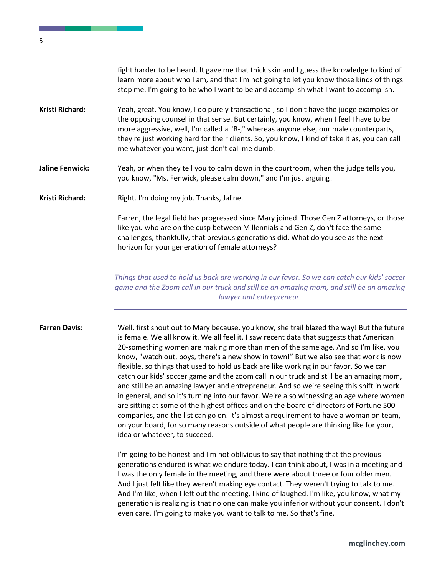fight harder to be heard. It gave me that thick skin and I guess the knowledge to kind of learn more about who I am, and that I'm not going to let you know those kinds of things stop me. I'm going to be who I want to be and accomplish what I want to accomplish.

- **Kristi Richard:** Yeah, great. You know, I do purely transactional, so I don't have the judge examples or the opposing counsel in that sense. But certainly, you know, when I feel I have to be more aggressive, well, I'm called a "B-," whereas anyone else, our male counterparts, they're just working hard for their clients. So, you know, I kind of take it as, you can call me whatever you want, just don't call me dumb.
- **Jaline Fenwick:** Yeah, or when they tell you to calm down in the courtroom, when the judge tells you, you know, "Ms. Fenwick, please calm down," and I'm just arguing!
- Kristi Richard: Right. I'm doing my job. Thanks, Jaline.

Farren, the legal field has progressed since Mary joined. Those Gen Z attorneys, or those like you who are on the cusp between Millennials and Gen Z, don't face the same challenges, thankfully, that previous generations did. What do you see as the next horizon for your generation of female attorneys?

*Things that used to hold us back are working in our favor. So we can catch our kids' soccer game and the Zoom call in our truck and still be an amazing mom, and still be an amazing lawyer and entrepreneur.* 

**Farren Davis:** Well, first shout out to Mary because, you know, she trail blazed the way! But the future is female. We all know it. We all feel it. I saw recent data that suggests that American 20-something women are making more than men of the same age. And so I'm like, you know, "watch out, boys, there's a new show in town!" But we also see that work is now flexible, so things that used to hold us back are like working in our favor. So we can catch our kids' soccer game and the zoom call in our truck and still be an amazing mom, and still be an amazing lawyer and entrepreneur. And so we're seeing this shift in work in general, and so it's turning into our favor. We're also witnessing an age where women are sitting at some of the highest offices and on the board of directors of Fortune 500 companies, and the list can go on. It's almost a requirement to have a woman on team, on your board, for so many reasons outside of what people are thinking like for your, idea or whatever, to succeed.

> I'm going to be honest and I'm not oblivious to say that nothing that the previous generations endured is what we endure today. I can think about, I was in a meeting and I was the only female in the meeting, and there were about three or four older men. And I just felt like they weren't making eye contact. They weren't trying to talk to me. And I'm like, when I left out the meeting, I kind of laughed. I'm like, you know, what my generation is realizing is that no one can make you inferior without your consent. I don't even care. I'm going to make you want to talk to me. So that's fine.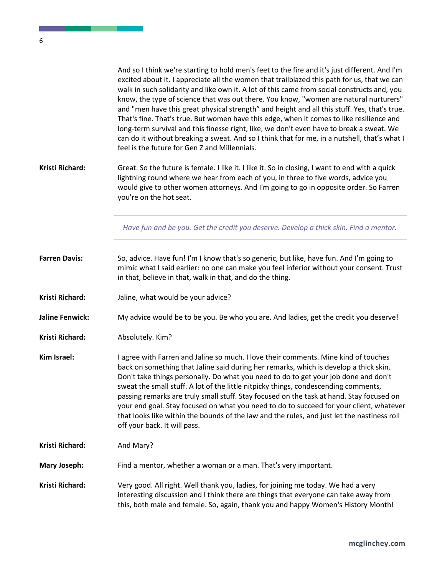. .

|                        | And so I think we're starting to hold men's feet to the fire and it's just different. And I'm<br>excited about it. I appreciate all the women that trailblazed this path for us, that we can<br>walk in such solidarity and like own it. A lot of this came from social constructs and, you<br>know, the type of science that was out there. You know, "women are natural nurturers"<br>and "men have this great physical strength" and height and all this stuff. Yes, that's true.<br>That's fine. That's true. But women have this edge, when it comes to like resilience and<br>long-term survival and this finesse right, like, we don't even have to break a sweat. We<br>can do it without breaking a sweat. And so I think that for me, in a nutshell, that's what I<br>feel is the future for Gen Z and Millennials. |
|------------------------|-------------------------------------------------------------------------------------------------------------------------------------------------------------------------------------------------------------------------------------------------------------------------------------------------------------------------------------------------------------------------------------------------------------------------------------------------------------------------------------------------------------------------------------------------------------------------------------------------------------------------------------------------------------------------------------------------------------------------------------------------------------------------------------------------------------------------------|
| Kristi Richard:        | Great. So the future is female. I like it. I like it. So in closing, I want to end with a quick<br>lightning round where we hear from each of you, in three to five words, advice you<br>would give to other women attorneys. And I'm going to go in opposite order. So Farren<br>you're on the hot seat.                                                                                                                                                                                                                                                                                                                                                                                                                                                                                                                     |
|                        | Have fun and be you. Get the credit you deserve. Develop a thick skin. Find a mentor.                                                                                                                                                                                                                                                                                                                                                                                                                                                                                                                                                                                                                                                                                                                                         |
| <b>Farren Davis:</b>   | So, advice. Have fun! I'm I know that's so generic, but like, have fun. And I'm going to<br>mimic what I said earlier: no one can make you feel inferior without your consent. Trust<br>in that, believe in that, walk in that, and do the thing.                                                                                                                                                                                                                                                                                                                                                                                                                                                                                                                                                                             |
| Kristi Richard:        | Jaline, what would be your advice?                                                                                                                                                                                                                                                                                                                                                                                                                                                                                                                                                                                                                                                                                                                                                                                            |
| <b>Jaline Fenwick:</b> | My advice would be to be you. Be who you are. And ladies, get the credit you deserve!                                                                                                                                                                                                                                                                                                                                                                                                                                                                                                                                                                                                                                                                                                                                         |
| <b>Kristi Richard:</b> | Absolutely. Kim?                                                                                                                                                                                                                                                                                                                                                                                                                                                                                                                                                                                                                                                                                                                                                                                                              |
| Kim Israel:            | I agree with Farren and Jaline so much. I love their comments. Mine kind of touches<br>back on something that Jaline said during her remarks, which is develop a thick skin.<br>Don't take things personally. Do what you need to do to get your job done and don't<br>sweat the small stuff. A lot of the little nitpicky things, condescending comments,<br>passing remarks are truly small stuff. Stay focused on the task at hand. Stay focused on<br>your end goal. Stay focused on what you need to do to succeed for your client, whatever<br>that looks like within the bounds of the law and the rules, and just let the nastiness roll<br>off your back. It will pass.                                                                                                                                              |
| Kristi Richard:        | And Mary?                                                                                                                                                                                                                                                                                                                                                                                                                                                                                                                                                                                                                                                                                                                                                                                                                     |
| <b>Mary Joseph:</b>    | Find a mentor, whether a woman or a man. That's very important.                                                                                                                                                                                                                                                                                                                                                                                                                                                                                                                                                                                                                                                                                                                                                               |
| Kristi Richard:        | Very good. All right. Well thank you, ladies, for joining me today. We had a very<br>interesting discussion and I think there are things that everyone can take away from<br>this, both male and female. So, again, thank you and happy Women's History Month!                                                                                                                                                                                                                                                                                                                                                                                                                                                                                                                                                                |